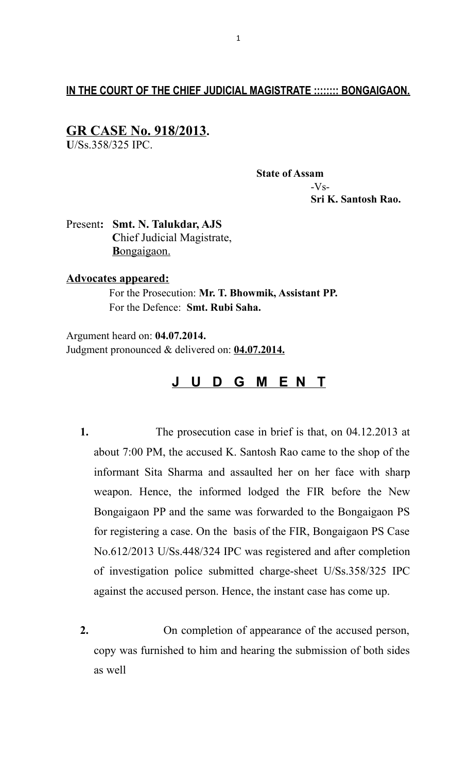# **IN THE COURT OF THE CHIEF JUDICIAL MAGISTRATE :::::::: BONGAIGAON.**

## **GR CASE No. 918/2013.**

**U**/Ss.358/325 IPC.

 **State of Assam** -Vs-  **Sri K. Santosh Rao.**

Present**: Smt. N. Talukdar, AJS C**hief Judicial Magistrate, **B**ongaigaon.

#### **Advocates appeared:**

 For the Prosecution: **Mr. T. Bhowmik, Assistant PP.** For the Defence: **Smt. Rubi Saha.**

Argument heard on: **04.07.2014.** Judgment pronounced & delivered on: **04.07.2014.**

# **J U D G M E N T**

- **1.** The prosecution case in brief is that, on 04.12.2013 at about 7:00 PM, the accused K. Santosh Rao came to the shop of the informant Sita Sharma and assaulted her on her face with sharp weapon. Hence, the informed lodged the FIR before the New Bongaigaon PP and the same was forwarded to the Bongaigaon PS for registering a case. On the basis of the FIR, Bongaigaon PS Case No.612/2013 U/Ss.448/324 IPC was registered and after completion of investigation police submitted charge-sheet U/Ss.358/325 IPC against the accused person. Hence, the instant case has come up.
- **2.** On completion of appearance of the accused person, copy was furnished to him and hearing the submission of both sides as well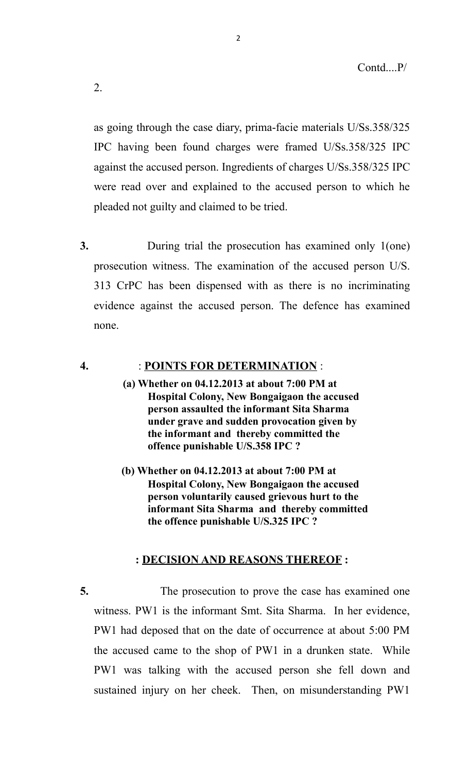as going through the case diary, prima-facie materials U/Ss.358/325 IPC having been found charges were framed U/Ss.358/325 IPC against the accused person. Ingredients of charges U/Ss.358/325 IPC were read over and explained to the accused person to which he pleaded not guilty and claimed to be tried.

2

**3.** During trial the prosecution has examined only 1(one) prosecution witness. The examination of the accused person U/S. 313 CrPC has been dispensed with as there is no incriminating evidence against the accused person. The defence has examined none.

### **4.** : **POINTS FOR DETERMINATION** :

- **(a) Whether on 04.12.2013 at about 7:00 PM at Hospital Colony, New Bongaigaon the accused person assaulted the informant Sita Sharma under grave and sudden provocation given by the informant and thereby committed the offence punishable U/S.358 IPC ?**
- **(b) Whether on 04.12.2013 at about 7:00 PM at Hospital Colony, New Bongaigaon the accused person voluntarily caused grievous hurt to the informant Sita Sharma and thereby committed the offence punishable U/S.325 IPC ?**

### **: DECISION AND REASONS THEREOF :**

**5.** The prosecution to prove the case has examined one witness. PW1 is the informant Smt. Sita Sharma. In her evidence, PW1 had deposed that on the date of occurrence at about 5:00 PM the accused came to the shop of PW1 in a drunken state. While PW1 was talking with the accused person she fell down and sustained injury on her cheek. Then, on misunderstanding PW1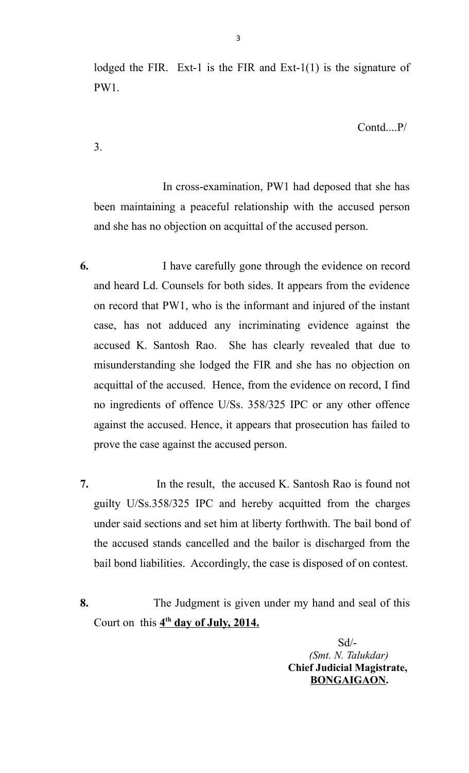lodged the FIR. Ext-1 is the FIR and Ext-1(1) is the signature of PW1.

Contd....P/

3.

 In cross-examination, PW1 had deposed that she has been maintaining a peaceful relationship with the accused person and she has no objection on acquittal of the accused person.

- **6.** I have carefully gone through the evidence on record and heard Ld. Counsels for both sides. It appears from the evidence on record that PW1, who is the informant and injured of the instant case, has not adduced any incriminating evidence against the accused K. Santosh Rao. She has clearly revealed that due to misunderstanding she lodged the FIR and she has no objection on acquittal of the accused. Hence, from the evidence on record, I find no ingredients of offence U/Ss. 358/325 IPC or any other offence against the accused. Hence, it appears that prosecution has failed to prove the case against the accused person.
- **7.** In the result, the accused K. Santosh Rao is found not guilty U/Ss.358/325 IPC and hereby acquitted from the charges under said sections and set him at liberty forthwith. The bail bond of the accused stands cancelled and the bailor is discharged from the bail bond liabilities. Accordingly, the case is disposed of on contest.
- **8.** The Judgment is given under my hand and seal of this Court on this  $4^{\text{th}}$  day of July, 2014.

 Sd/- *(Smt. N. Talukdar)*  **Chief Judicial Magistrate, BONGAIGAON.**